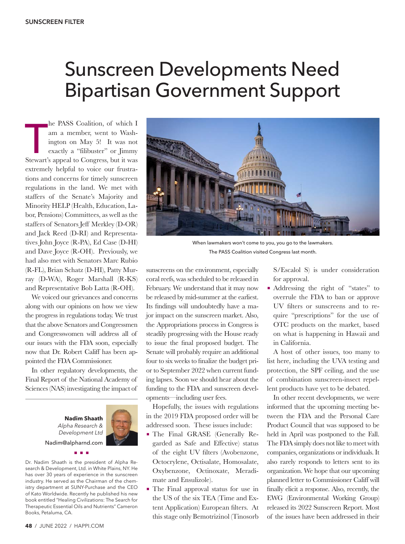## Sunscreen Developments Need Bipartisan Government Support

ne PASS Coantion, or which I<br>
am a member, went to Wash-<br>
ington on May 5! It was not<br>
exactly a "filibuster" or Jimmy<br>
Stewart's appeal to Congress, but it was he PASS Coalition, of which I am a member, went to Washington on May 5! It was not exactly a "filibuster" or Jimmy extremely helpful to voice our frustrations and concerns for timely sunscreen regulations in the land. We met with staffers of the Senate's Majority and Minority HELP (Health, Education, Labor, Pensions) Committees, as well as the staffers of Senators Jeff Merkley (D-OR) and Jack Reed (D-RI) and Representatives John Joyce (R-PA), Ed Case (D-HI) and Dave Joyce (R-OH). Previously, we had also met with Senators Marc Rubio (R-FL), Brian Schatz (D-HI), Patty Murray (D-WA), Roger Marshall (R-KS) and Representative Bob Latta (R-OH).

We voiced our grievances and concerns along with our opinions on how we view the progress in regulations today. We trust that the above Senators and Congressmen and Congresswomen will address all of our issues with the FDA soon, especially now that Dr. Robert Califf has been appointed the FDA Commissioner.

In other regulatory developments, the Final Report of the National Academy of Sciences (NAS) investigating the impact of

> **Nadim Shaath** *Alpha Research & Development Ltd* Nadim@alpharnd.com



Dr. Nadim Shaath is the president of Alpha Research & Development, Ltd. in White Plains, NY. He has over 30 years of experience in the sunscreen industry. He served as the Chairman of the chemistry department at SUNY-Purchase and the CEO of Kato Worldwide. Recently he published his new book entitled "Healing Civilizations: The Search for Therapeutic Essential Oils and Nutrients" Cameron Books, Petaluma, CA.

nnn



When lawmakers won't come to you, you go to the lawmakers. The PASS Coalition visited Congress last month.

sunscreens on the environment, especially coral reefs, was scheduled to be released in February. We understand that it may now be released by mid-summer at the earliest. Its findings will undoubtedly have a major impact on the sunscreen market. Also, the Appropriations process in Congress is steadily progressing with the House ready to issue the final proposed budget. The Senate will probably require an additional four to six weeks to finalize the budget prior to September 2022 when current funding lapses. Soon we should hear about the funding to the FDA and sunscreen developments—including user fees.

Hopefully, the issues with regulations in the 2019 FDA proposed order will be addressed soon. These issues include:

- The Final GRASE (Generally Regarded as Safe and Effective) status of the eight UV filters (Avobenzone, Octocrylene, Octisalate, Homosalate, Oxybenzone, Octinoxate, Meradimate and Ensulizole).
- The Final approval status for use in the US of the six TEA (Time and Extent Application) European filters. At this stage only Bemotrizinol (Tinosorb

S/Escalol S) is under consideration for approval.

 Addressing the right of "states" to overrule the FDA to ban or approve UV filters or sunscreens and to require "prescriptions" for the use of OTC products on the market, based on what is happening in Hawaii and in California.

A host of other issues, too many to list here, including the UVA testing and protection, the SPF ceiling, and the use of combination sunscreen-insect repellent products have yet to be debated.

In other recent developments, we were informed that the upcoming meeting between the FDA and the Personal Care Product Council that was supposed to be held in April was postponed to the Fall. The FDA simply does not like to meet with companies, organizations or individuals. It also rarely responds to letters sent to its organization. We hope that our upcoming planned letter to Commissioner Califf will finally elicit a response. Also, recently, the EWG (Environmental Working Group) released its 2022 Sunscreen Report. Most of the issues have been addressed in their